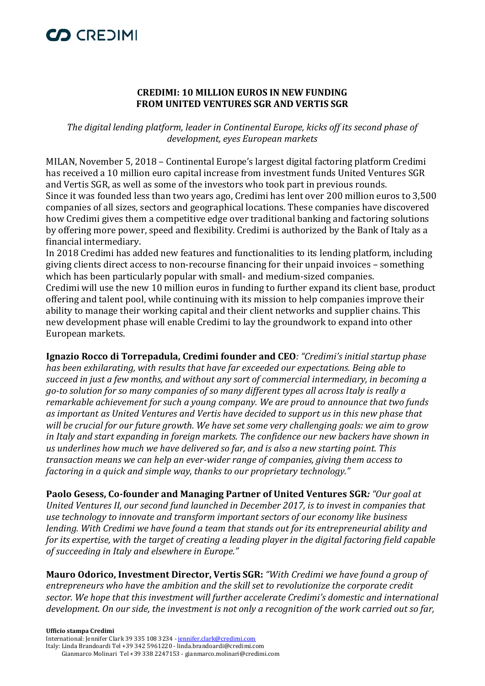# CO CREDIMI

### **CREDIMI: 10 MILLION EUROS IN NEW FUNDING FROM UNITED VENTURES SGR AND VERTIS SGR**

*The digital lending platform, leader in Continental Europe, kicks off its second phase of development, eyes European markets*

MILAN, November 5, 2018 – Continental Europe's largest digital factoring platform Credimi has received a 10 million euro capital increase from investment funds United Ventures SGR and Vertis SGR, as well as some of the investors who took part in previous rounds. Since it was founded less than two years ago, Credimi has lent over 200 million euros to 3,500 companies of all sizes, sectors and geographical locations. These companies have discovered how Credimi gives them a competitive edge over traditional banking and factoring solutions by offering more power, speed and flexibility. Credimi is authorized by the Bank of Italy as a financial intermediary.

In 2018 Credimi has added new features and functionalities to its lending platform, including giving clients direct access to non-recourse financing for their unpaid invoices – something which has been particularly popular with small- and medium-sized companies. Credimi will use the new 10 million euros in funding to further expand its client base, product offering and talent pool, while continuing with its mission to help companies improve their ability to manage their working capital and their client networks and supplier chains. This new development phase will enable Credimi to lay the groundwork to expand into other European markets.

**Ignazio Rocco di Torrepadula, Credimi founder and CEO***: "Credimi's initial startup phase has been exhilarating, with results that have far exceeded our expectations. Being able to succeed in just a few months, and without any sort of commercial intermediary, in becoming a go-to solution for so many companies of so many different types all across Italy is really a remarkable achievement for such a young company. We are proud to announce that two funds as important as United Ventures and Vertis have decided to support us in this new phase that will be crucial for our future growth. We have set some very challenging goals: we aim to grow in Italy and start expanding in foreign markets. The confidence our new backers have shown in us underlines how much we have delivered so far, and is also a new starting point. This transaction means we can help an ever-wider range of companies, giving them access to factoring in a quick and simple way, thanks to our proprietary technology."*

**Paolo Gesess, Co-founder and Managing Partner of United Ventures SGR***: "Our goal at United Ventures II, our second fund launched in December 2017, is to invest in companies that use technology to innovate and transform important sectors of our economy like business lending. With Credimi we have found a team that stands out for its entrepreneurial ability and for its expertise, with the target of creating a leading player in the digital factoring field capable of succeeding in Italy and elsewhere in Europe."*

**Mauro Odorico, Investment Director, Vertis SGR:** *"With Credimi we have found a group of entrepreneurs who have the ambition and the skill set to revolutionize the corporate credit sector. We hope that this investment will further accelerate Credimi's domestic and international development. On our side, the investment is not only a recognition of the work carried out so far,* 

#### **Ufficio stampa Credimi**  International: Jennifer Clark 39 335 108 3234 - [jennifer.clark@credimi.com](mailto:jennifer.clark@credimi.com) Italy: Linda Brandoardi Tel +39 342 5961220 - linda.brandoardi@credimi.com Gianmarco Molinari Tel +39 338 2247153 - gianmarco.molinari@credimi.com